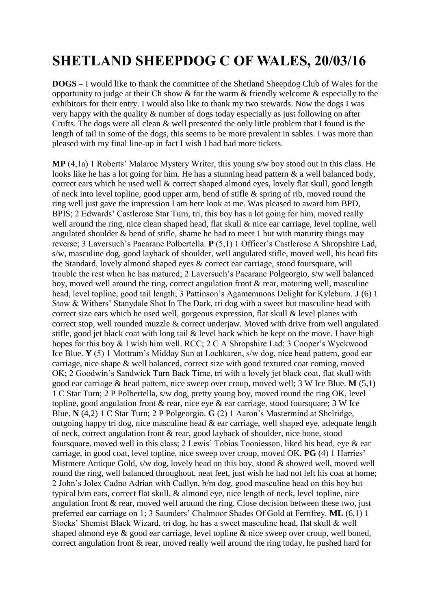## **SHETLAND SHEEPDOG C OF WALES, 20/03/16**

**DOGS –** I would like to thank the committee of the Shetland Sheepdog Club of Wales for the opportunity to judge at their Ch show & for the warm & friendly welcome & especially to the exhibitors for their entry. I would also like to thank my two stewards. Now the dogs I was very happy with the quality & number of dogs today especially as just following on after Crufts. The dogs were all clean & well presented the only little problem that I found is the length of tail in some of the dogs, this seems to be more prevalent in sables. I was more than pleased with my final line-up in fact I wish I had had more tickets.

**MP** (4,1a) 1 Roberts' Malaroc Mystery Writer, this young s/w boy stood out in this class. He looks like he has a lot going for him. He has a stunning head pattern & a well balanced body, correct ears which he used well & correct shaped almond eyes, lovely flat skull, good length of neck into level topline, good upper arm, bend of stifle & spring of rib, moved round the ring well just gave the impression I am here look at me. Was pleased to award him BPD, BPIS; 2 Edwards' Castlerose Star Turn, tri, this boy has a lot going for him, moved really well around the ring, nice clean shaped head, flat skull & nice ear carriage, level topline, well angulated shoulder  $\&$  bend of stifle, shame he had to meet 1 but with maturity things may reverse; 3 Laversuch's Pacarane Polbertella. **P** (5,1) 1 Officer's Castlerose A Shropshire Lad, s/w, masculine dog, good layback of shoulder, well angulated stifle, moved well, his head fits the Standard, lovely almond shaped eyes & correct ear carriage, stood foursquare, will trouble the rest when he has matured; 2 Laversuch's Pacarane Polgeorgio, s/w well balanced boy, moved well around the ring, correct angulation front & rear, maturing well, masculine head, level topline, good tail length; 3 Pattinson's Agamemnons Delight for Kyleburn. **J** (6) 1 Stow & Withers' Stanydale Shot In The Dark, tri dog with a sweet but masculine head with correct size ears which he used well, gorgeous expression, flat skull & level planes with correct stop, well rounded muzzle & correct underjaw. Moved with drive from well angulated stifle, good jet black coat with long tail & level back which he kept on the move. I have high hopes for this boy & I wish him well. RCC; 2 C A Shropshire Lad; 3 Cooper's Wyckwood Ice Blue. **Y** (5) 1 Mottram's Midday Sun at Lochkaren, s/w dog, nice head pattern, good ear carriage, nice shape & well balanced, correct size with good textured coat coming, moved OK; 2 Goodwin's Sandwick Turn Back Time, tri with a lovely jet black coat, flat skull with good ear carriage & head pattern, nice sweep over croup, moved well; 3 W Ice Blue. **M** (5,1) 1 C Star Turn; 2 P Polbertella, s/w dog, pretty young boy, moved round the ring OK, level topline, good angulation front & rear, nice eye & ear carriage, stood foursquare; 3 W Ice Blue. **N** (4,2) 1 C Star Turn; 2 P Polgeorgio. **G** (2) 1 Aaron's Mastermind at Shelridge, outgoing happy tri dog, nice masculine head & ear carriage, well shaped eye, adequate length of neck, correct angulation front & rear, good layback of shoulder, nice bone, stood foursquare, moved well in this class; 2 Lewis' Tobias Tooniesson, liked his head, eye & ear carriage, in good coat, level topline, nice sweep over croup, moved OK. **PG** (4) 1 Harries' Mistmere Antique Gold, s/w dog, lovely head on this boy, stood & showed well, moved well round the ring, well balanced throughout, neat feet, just wish he had not left his coat at home; 2 John's Jolex Cadno Adrian with Cadlyn, b/m dog, good masculine head on this boy but typical b/m ears, correct flat skull, & almond eye, nice length of neck, level topline, nice angulation front & rear, moved well around the ring. Close decision between these two, just preferred ear carriage on 1; 3 Saunders' Chalmoor Shades Of Gold at Fernfrey. **ML** (6,1) 1 Stocks' Shemist Black Wizard, tri dog, he has a sweet masculine head, flat skull & well shaped almond eye & good ear carriage, level topline & nice sweep over croup, well boned, correct angulation front & rear, moved really well around the ring today, he pushed hard for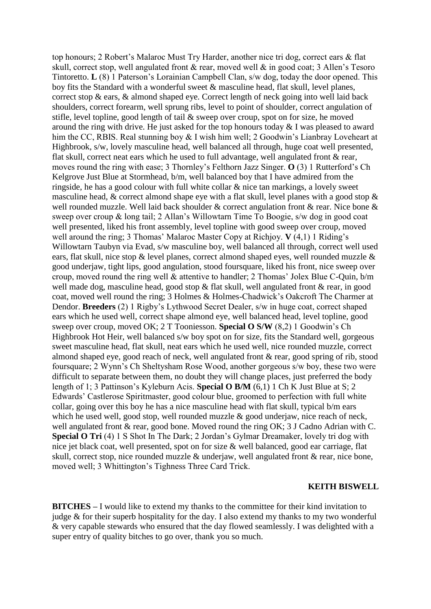top honours; 2 Robert's Malaroc Must Try Harder, another nice tri dog, correct ears & flat skull, correct stop, well angulated front & rear, moved well & in good coat; 3 Allen's Tesoro Tintoretto. **L** (8) 1 Paterson's Lorainian Campbell Clan, s/w dog, today the door opened. This boy fits the Standard with a wonderful sweet & masculine head, flat skull, level planes, correct stop & ears, & almond shaped eye. Correct length of neck going into well laid back shoulders, correct forearm, well sprung ribs, level to point of shoulder, correct angulation of stifle, level topline, good length of tail & sweep over croup, spot on for size, he moved around the ring with drive. He just asked for the top honours today & I was pleased to award him the CC, RBIS. Real stunning boy & I wish him well; 2 Goodwin's Lianbray Loveheart at Highbrook, s/w, lovely masculine head, well balanced all through, huge coat well presented, flat skull, correct neat ears which he used to full advantage, well angulated front & rear, moves round the ring with ease; 3 Thornley's Felthorn Jazz Singer. **O** (3) 1 Rutterford's Ch Kelgrove Just Blue at Stormhead, b/m, well balanced boy that I have admired from the ringside, he has a good colour with full white collar & nice tan markings, a lovely sweet masculine head,  $\&$  correct almond shape eye with a flat skull, level planes with a good stop  $\&$ well rounded muzzle. Well laid back shoulder & correct angulation front & rear. Nice bone & sweep over croup & long tail; 2 Allan's Willowtarn Time To Boogie, s/w dog in good coat well presented, liked his front assembly, level topline with good sweep over croup, moved well around the ring; 3 Thomas' Malaroc Master Copy at Richjoy. **V** (4,1) 1 Riding's Willowtarn Taubyn via Evad, s/w masculine boy, well balanced all through, correct well used ears, flat skull, nice stop & level planes, correct almond shaped eyes, well rounded muzzle & good underjaw, tight lips, good angulation, stood foursquare, liked his front, nice sweep over croup, moved round the ring well & attentive to handler; 2 Thomas' Jolex Blue C-Quin, b/m well made dog, masculine head, good stop & flat skull, well angulated front & rear, in good coat, moved well round the ring; 3 Holmes & Holmes-Chadwick's Oakcroft The Charmer at Dendor. **Breeders** (2) 1 Rigby's Lythwood Secret Dealer, s/w in huge coat, correct shaped ears which he used well, correct shape almond eye, well balanced head, level topline, good sweep over croup, moved OK; 2 T Tooniesson. **Special O S/W** (8,2) 1 Goodwin's Ch Highbrook Hot Heir, well balanced s/w boy spot on for size, fits the Standard well, gorgeous sweet masculine head, flat skull, neat ears which he used well, nice rounded muzzle, correct almond shaped eye, good reach of neck, well angulated front & rear, good spring of rib, stood foursquare; 2 Wynn's Ch Sheltysham Rose Wood, another gorgeous s/w boy, these two were difficult to separate between them, no doubt they will change places, just preferred the body length of 1; 3 Pattinson's Kyleburn Acis. **Special O B/M** (6,1) 1 Ch K Just Blue at S; 2 Edwards' Castlerose Spiritmaster, good colour blue, groomed to perfection with full white collar, going over this boy he has a nice masculine head with flat skull, typical b/m ears which he used well, good stop, well rounded muzzle & good underjaw, nice reach of neck, well angulated front & rear, good bone. Moved round the ring OK; 3 J Cadno Adrian with C. **Special O Tri** (4) 1 S Shot In The Dark; 2 Jordan's Gylmar Dreamaker, lovely tri dog with nice jet black coat, well presented, spot on for size & well balanced, good ear carriage, flat skull, correct stop, nice rounded muzzle & underjaw, well angulated front & rear, nice bone, moved well; 3 Whittington's Tighness Three Card Trick.

## **KEITH BISWELL**

**BITCHES –** I would like to extend my thanks to the committee for their kind invitation to judge  $\&$  for their superb hospitality for the day. I also extend my thanks to my two wonderful & very capable stewards who ensured that the day flowed seamlessly. I was delighted with a super entry of quality bitches to go over, thank you so much.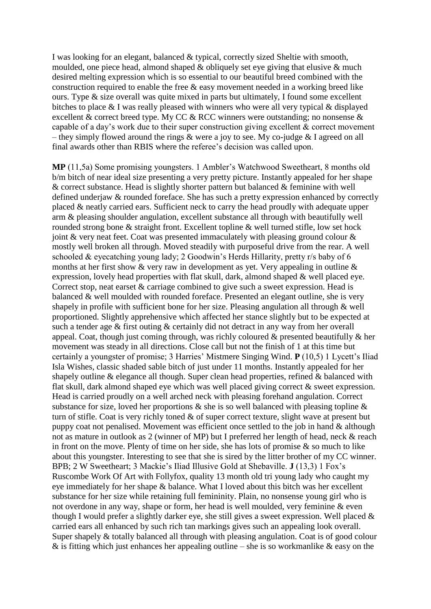I was looking for an elegant, balanced & typical, correctly sized Sheltie with smooth, moulded, one piece head, almond shaped & obliquely set eye giving that elusive & much desired melting expression which is so essential to our beautiful breed combined with the construction required to enable the free & easy movement needed in a working breed like ours. Type & size overall was quite mixed in parts but ultimately, I found some excellent bitches to place & I was really pleased with winners who were all very typical & displayed excellent & correct breed type. My CC & RCC winners were outstanding; no nonsense & capable of a day's work due to their super construction giving excellent & correct movement – they simply flowed around the rings & were a joy to see. My co-judge & I agreed on all final awards other than RBIS where the referee's decision was called upon.

**MP** (11,5a) Some promising youngsters. 1 Ambler's Watchwood Sweetheart, 8 months old b/m bitch of near ideal size presenting a very pretty picture. Instantly appealed for her shape  $\&$  correct substance. Head is slightly shorter pattern but balanced  $\&$  feminine with well defined underjaw & rounded foreface. She has such a pretty expression enhanced by correctly placed & neatly carried ears. Sufficient neck to carry the head proudly with adequate upper arm & pleasing shoulder angulation, excellent substance all through with beautifully well rounded strong bone & straight front. Excellent topline & well turned stifle, low set hock joint & very neat feet. Coat was presented immaculately with pleasing ground colour & mostly well broken all through. Moved steadily with purposeful drive from the rear. A well schooled & eyecatching young lady; 2 Goodwin's Herds Hillarity, pretty r/s baby of 6 months at her first show  $\&$  very raw in development as yet. Very appealing in outline  $\&$ expression, lovely head properties with flat skull, dark, almond shaped & well placed eye. Correct stop, neat earset & carriage combined to give such a sweet expression. Head is balanced & well moulded with rounded foreface. Presented an elegant outline, she is very shapely in profile with sufficient bone for her size. Pleasing angulation all through & well proportioned. Slightly apprehensive which affected her stance slightly but to be expected at such a tender age & first outing & certainly did not detract in any way from her overall appeal. Coat, though just coming through, was richly coloured & presented beautifully & her movement was steady in all directions. Close call but not the finish of 1 at this time but certainly a youngster of promise; 3 Harries' Mistmere Singing Wind. **P** (10,5) 1 Lycett's Iliad Isla Wishes, classic shaded sable bitch of just under 11 months. Instantly appealed for her shapely outline & elegance all though. Super clean head properties, refined & balanced with flat skull, dark almond shaped eye which was well placed giving correct & sweet expression. Head is carried proudly on a well arched neck with pleasing forehand angulation. Correct substance for size, loved her proportions  $\&$  she is so well balanced with pleasing topline  $\&$ turn of stifle. Coat is very richly toned & of super correct texture, slight wave at present but puppy coat not penalised. Movement was efficient once settled to the job in hand & although not as mature in outlook as 2 (winner of MP) but I preferred her length of head, neck & reach in front on the move. Plenty of time on her side, she has lots of promise  $\&$  so much to like about this youngster. Interesting to see that she is sired by the litter brother of my CC winner. BPB; 2 W Sweetheart; 3 Mackie's Iliad Illusive Gold at Shebaville. **J** (13,3) 1 Fox's Ruscombe Work Of Art with Follyfox, quality 13 month old tri young lady who caught my eye immediately for her shape & balance. What I loved about this bitch was her excellent substance for her size while retaining full femininity. Plain, no nonsense young girl who is not overdone in any way, shape or form, her head is well moulded, very feminine & even though I would prefer a slightly darker eye, she still gives a sweet expression. Well placed & carried ears all enhanced by such rich tan markings gives such an appealing look overall. Super shapely & totally balanced all through with pleasing angulation. Coat is of good colour  $\&$  is fitting which just enhances her appealing outline – she is so workmanlike  $\&$  easy on the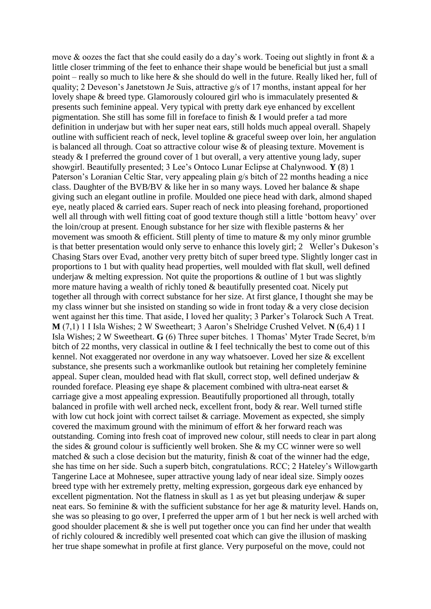move & oozes the fact that she could easily do a day's work. Toeing out slightly in front & a little closer trimming of the feet to enhance their shape would be beneficial but just a small point – really so much to like here & she should do well in the future. Really liked her, full of quality; 2 Deveson's Janetstown Je Suis, attractive g/s of 17 months, instant appeal for her lovely shape & breed type. Glamorously coloured girl who is immaculately presented & presents such feminine appeal. Very typical with pretty dark eye enhanced by excellent pigmentation. She still has some fill in foreface to finish & I would prefer a tad more definition in underjaw but with her super neat ears, still holds much appeal overall. Shapely outline with sufficient reach of neck, level topline & graceful sweep over loin, her angulation is balanced all through. Coat so attractive colour wise & of pleasing texture. Movement is steady & I preferred the ground cover of 1 but overall, a very attentive young lady, super showgirl. Beautifully presented; 3 Lee's Ontoco Lunar Eclipse at Chalynwood. **Y** (8) 1 Paterson's Loranian Celtic Star, very appealing plain g/s bitch of 22 months heading a nice class. Daughter of the BVB/BV & like her in so many ways. Loved her balance & shape giving such an elegant outline in profile. Moulded one piece head with dark, almond shaped eye, neatly placed & carried ears. Super reach of neck into pleasing forehand, proportioned well all through with well fitting coat of good texture though still a little 'bottom heavy' over the loin/croup at present. Enough substance for her size with flexible pasterns & her movement was smooth  $\&$  efficient. Still plenty of time to mature  $\&$  my only minor grumble is that better presentation would only serve to enhance this lovely girl; 2 Weller's Dukeson's Chasing Stars over Evad, another very pretty bitch of super breed type. Slightly longer cast in proportions to 1 but with quality head properties, well moulded with flat skull, well defined underjaw  $\&$  melting expression. Not quite the proportions  $\&$  outline of 1 but was slightly more mature having a wealth of richly toned & beautifully presented coat. Nicely put together all through with correct substance for her size. At first glance, I thought she may be my class winner but she insisted on standing so wide in front today & a very close decision went against her this time. That aside, I loved her quality; 3 Parker's Tolarock Such A Treat. **M** (7,1) 1 I Isla Wishes; 2 W Sweetheart; 3 Aaron's Shelridge Crushed Velvet. **N** (6,4) 1 I Isla Wishes; 2 W Sweetheart. **G** (6) Three super bitches. 1 Thomas' Myter Trade Secret, b/m bitch of 22 months, very classical in outline & I feel technically the best to come out of this kennel. Not exaggerated nor overdone in any way whatsoever. Loved her size & excellent substance, she presents such a workmanlike outlook but retaining her completely feminine appeal. Super clean, moulded head with flat skull, correct stop, well defined underjaw & rounded foreface. Pleasing eye shape & placement combined with ultra-neat earset & carriage give a most appealing expression. Beautifully proportioned all through, totally balanced in profile with well arched neck, excellent front, body & rear. Well turned stifle with low cut hock joint with correct tailset & carriage. Movement as expected, she simply covered the maximum ground with the minimum of effort & her forward reach was outstanding. Coming into fresh coat of improved new colour, still needs to clear in part along the sides & ground colour is sufficiently well broken. She & my CC winner were so well matched  $\&$  such a close decision but the maturity, finish  $\&$  coat of the winner had the edge, she has time on her side. Such a superb bitch, congratulations. RCC; 2 Hateley's Willowgarth Tangerine Lace at Mohnesee, super attractive young lady of near ideal size. Simply oozes breed type with her extremely pretty, melting expression, gorgeous dark eye enhanced by excellent pigmentation. Not the flatness in skull as 1 as yet but pleasing underjaw & super neat ears. So feminine & with the sufficient substance for her age & maturity level. Hands on, she was so pleasing to go over, I preferred the upper arm of 1 but her neck is well arched with good shoulder placement & she is well put together once you can find her under that wealth of richly coloured & incredibly well presented coat which can give the illusion of masking her true shape somewhat in profile at first glance. Very purposeful on the move, could not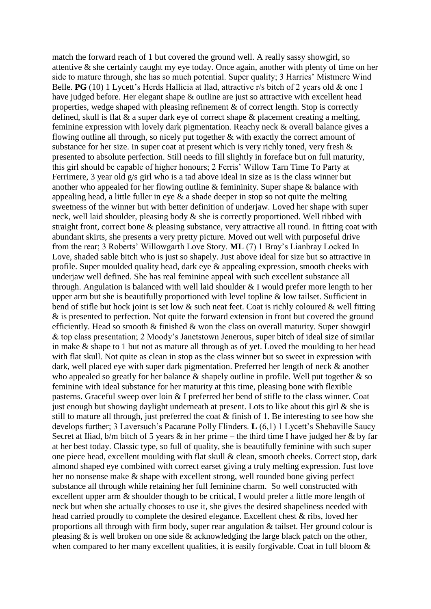match the forward reach of 1 but covered the ground well. A really sassy showgirl, so attentive & she certainly caught my eye today. Once again, another with plenty of time on her side to mature through, she has so much potential. Super quality; 3 Harries' Mistmere Wind Belle. **PG** (10) 1 Lycett's Herds Hallicia at Ilad, attractive r/s bitch of 2 years old & one I have judged before. Her elegant shape & outline are just so attractive with excellent head properties, wedge shaped with pleasing refinement  $\&$  of correct length. Stop is correctly defined, skull is flat & a super dark eye of correct shape & placement creating a melting, feminine expression with lovely dark pigmentation. Reachy neck & overall balance gives a flowing outline all through, so nicely put together & with exactly the correct amount of substance for her size. In super coat at present which is very richly toned, very fresh & presented to absolute perfection. Still needs to fill slightly in foreface but on full maturity, this girl should be capable of higher honours; 2 Ferris' Willow Tarn Time To Party at Ferrimere, 3 year old g/s girl who is a tad above ideal in size as is the class winner but another who appealed for her flowing outline & femininity. Super shape & balance with appealing head, a little fuller in eye  $\&$  a shade deeper in stop so not quite the melting sweetness of the winner but with better definition of underjaw. Loved her shape with super neck, well laid shoulder, pleasing body & she is correctly proportioned. Well ribbed with straight front, correct bone & pleasing substance, very attractive all round. In fitting coat with abundant skirts, she presents a very pretty picture. Moved out well with purposeful drive from the rear; 3 Roberts' Willowgarth Love Story. **ML** (7) 1 Bray's Lianbray Locked In Love, shaded sable bitch who is just so shapely. Just above ideal for size but so attractive in profile. Super moulded quality head, dark eye & appealing expression, smooth cheeks with underjaw well defined. She has real feminine appeal with such excellent substance all through. Angulation is balanced with well laid shoulder & I would prefer more length to her upper arm but she is beautifully proportioned with level topline  $\&$  low tailset. Sufficient in bend of stifle but hock joint is set low & such neat feet. Coat is richly coloured & well fitting & is presented to perfection. Not quite the forward extension in front but covered the ground efficiently. Head so smooth  $\&$  finished  $\&$  won the class on overall maturity. Super showgirl & top class presentation; 2 Moody's Janetstown Jenerous, super bitch of ideal size of similar in make & shape to 1 but not as mature all through as of yet. Loved the moulding to her head with flat skull. Not quite as clean in stop as the class winner but so sweet in expression with dark, well placed eye with super dark pigmentation. Preferred her length of neck & another who appealed so greatly for her balance  $\&$  shapely outline in profile. Well put together  $\&$  so feminine with ideal substance for her maturity at this time, pleasing bone with flexible pasterns. Graceful sweep over loin & I preferred her bend of stifle to the class winner. Coat just enough but showing daylight underneath at present. Lots to like about this girl  $\&$  she is still to mature all through, just preferred the coat & finish of 1. Be interesting to see how she develops further; 3 Laversuch's Pacarane Polly Flinders. **L** (6,1) 1 Lycett's Shebaville Saucy Secret at Iliad, b/m bitch of 5 years  $\&$  in her prime – the third time I have judged her  $\&$  by far at her best today. Classic type, so full of quality, she is beautifully feminine with such super one piece head, excellent moulding with flat skull & clean, smooth cheeks. Correct stop, dark almond shaped eye combined with correct earset giving a truly melting expression. Just love her no nonsense make & shape with excellent strong, well rounded bone giving perfect substance all through while retaining her full feminine charm. So well constructed with excellent upper arm & shoulder though to be critical, I would prefer a little more length of neck but when she actually chooses to use it, she gives the desired shapeliness needed with head carried proudly to complete the desired elegance. Excellent chest & ribs, loved her proportions all through with firm body, super rear angulation & tailset. Her ground colour is pleasing & is well broken on one side & acknowledging the large black patch on the other, when compared to her many excellent qualities, it is easily forgivable. Coat in full bloom  $\&$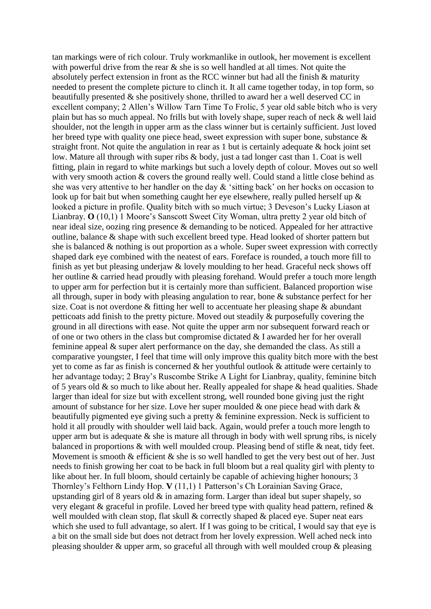tan markings were of rich colour. Truly workmanlike in outlook, her movement is excellent with powerful drive from the rear  $\&$  she is so well handled at all times. Not quite the absolutely perfect extension in front as the RCC winner but had all the finish & maturity needed to present the complete picture to clinch it. It all came together today, in top form, so beautifully presented  $\&$  she positively shone, thrilled to award her a well deserved CC in excellent company; 2 Allen's Willow Tarn Time To Frolic, 5 year old sable bitch who is very plain but has so much appeal. No frills but with lovely shape, super reach of neck & well laid shoulder, not the length in upper arm as the class winner but is certainly sufficient. Just loved her breed type with quality one piece head, sweet expression with super bone, substance & straight front. Not quite the angulation in rear as 1 but is certainly adequate & hock joint set low. Mature all through with super ribs & body, just a tad longer cast than 1. Coat is well fitting, plain in regard to white markings but such a lovely depth of colour. Moves out so well with very smooth action  $&$  covers the ground really well. Could stand a little close behind as she was very attentive to her handler on the day  $\&$  'sitting back' on her hocks on occasion to look up for bait but when something caught her eye elsewhere, really pulled herself up & looked a picture in profile. Quality bitch with so much virtue; 3 Deveson's Lucky Liason at Lianbray. **O** (10,1) 1 Moore's Sanscott Sweet City Woman, ultra pretty 2 year old bitch of near ideal size, oozing ring presence & demanding to be noticed. Appealed for her attractive outline, balance & shape with such excellent breed type. Head looked of shorter pattern but she is balanced & nothing is out proportion as a whole. Super sweet expression with correctly shaped dark eye combined with the neatest of ears. Foreface is rounded, a touch more fill to finish as yet but pleasing underjaw  $&$  lovely moulding to her head. Graceful neck shows off her outline & carried head proudly with pleasing forehand. Would prefer a touch more length to upper arm for perfection but it is certainly more than sufficient. Balanced proportion wise all through, super in body with pleasing angulation to rear, bone & substance perfect for her size. Coat is not overdone & fitting her well to accentuate her pleasing shape & abundant petticoats add finish to the pretty picture. Moved out steadily & purposefully covering the ground in all directions with ease. Not quite the upper arm nor subsequent forward reach or of one or two others in the class but compromise dictated & I awarded her for her overall feminine appeal & super alert performance on the day, she demanded the class. As still a comparative youngster, I feel that time will only improve this quality bitch more with the best yet to come as far as finish is concerned & her youthful outlook & attitude were certainly to her advantage today; 2 Bray's Ruscombe Strike A Light for Lianbray, quality, feminine bitch of 5 years old  $\&$  so much to like about her. Really appealed for shape  $\&$  head qualities. Shade larger than ideal for size but with excellent strong, well rounded bone giving just the right amount of substance for her size. Love her super moulded & one piece head with dark & beautifully pigmented eye giving such a pretty & feminine expression. Neck is sufficient to hold it all proudly with shoulder well laid back. Again, would prefer a touch more length to upper arm but is adequate  $\&$  she is mature all through in body with well sprung ribs, is nicely balanced in proportions & with well moulded croup. Pleasing bend of stifle & neat, tidy feet. Movement is smooth  $\&$  efficient  $\&$  she is so well handled to get the very best out of her. Just needs to finish growing her coat to be back in full bloom but a real quality girl with plenty to like about her. In full bloom, should certainly be capable of achieving higher honours; 3 Thornley's Felthorn Lindy Hop. **V** (11,1) 1 Patterson's Ch Lorainian Saving Grace, upstanding girl of 8 years old  $\&$  in amazing form. Larger than ideal but super shapely, so very elegant & graceful in profile. Loved her breed type with quality head pattern, refined & well moulded with clean stop, flat skull & correctly shaped & placed eye. Super neat ears which she used to full advantage, so alert. If I was going to be critical, I would say that eye is a bit on the small side but does not detract from her lovely expression. Well ached neck into pleasing shoulder & upper arm, so graceful all through with well moulded croup & pleasing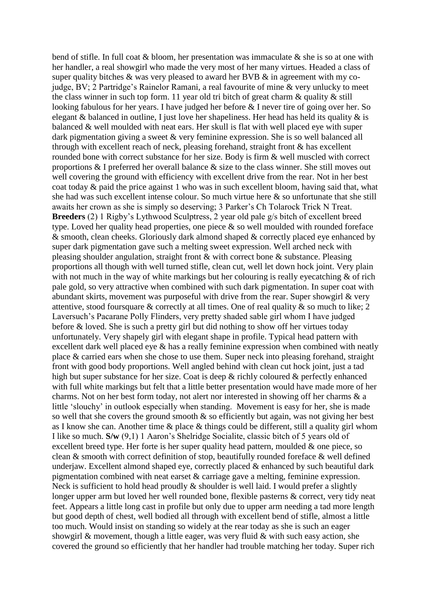bend of stifle. In full coat & bloom, her presentation was immaculate & she is so at one with her handler, a real showgirl who made the very most of her many virtues. Headed a class of super quality bitches  $\&$  was very pleased to award her BVB  $\&$  in agreement with my cojudge, BV; 2 Partridge's Rainelor Ramani, a real favourite of mine & very unlucky to meet the class winner in such top form. 11 year old tri bitch of great charm  $\&$  quality  $\&$  still looking fabulous for her years. I have judged her before & I never tire of going over her. So elegant  $\&$  balanced in outline, I just love her shapeliness. Her head has held its quality  $\&$  is balanced & well moulded with neat ears. Her skull is flat with well placed eye with super dark pigmentation giving a sweet & very feminine expression. She is so well balanced all through with excellent reach of neck, pleasing forehand, straight front & has excellent rounded bone with correct substance for her size. Body is firm & well muscled with correct proportions & I preferred her overall balance & size to the class winner. She still moves out well covering the ground with efficiency with excellent drive from the rear. Not in her best coat today & paid the price against 1 who was in such excellent bloom, having said that, what she had was such excellent intense colour. So much virtue here & so unfortunate that she still awaits her crown as she is simply so deserving; 3 Parker's Ch Tolarock Trick N Treat. **Breeders** (2) 1 Rigby's Lythwood Sculptress, 2 year old pale g/s bitch of excellent breed type. Loved her quality head properties, one piece  $\&$  so well moulded with rounded foreface  $\&$  smooth, clean cheeks. Gloriously dark almond shaped  $\&$  correctly placed eye enhanced by super dark pigmentation gave such a melting sweet expression. Well arched neck with pleasing shoulder angulation, straight front & with correct bone & substance. Pleasing proportions all though with well turned stifle, clean cut, well let down hock joint. Very plain with not much in the way of white markings but her colouring is really eyecatching  $\&$  of rich pale gold, so very attractive when combined with such dark pigmentation. In super coat with abundant skirts, movement was purposeful with drive from the rear. Super showgirl  $\&$  very attentive, stood foursquare & correctly at all times. One of real quality & so much to like; 2 Laversuch's Pacarane Polly Flinders, very pretty shaded sable girl whom I have judged before & loved. She is such a pretty girl but did nothing to show off her virtues today unfortunately. Very shapely girl with elegant shape in profile. Typical head pattern with excellent dark well placed eye & has a really feminine expression when combined with neatly place & carried ears when she chose to use them. Super neck into pleasing forehand, straight front with good body proportions. Well angled behind with clean cut hock joint, just a tad high but super substance for her size. Coat is deep & richly coloured & perfectly enhanced with full white markings but felt that a little better presentation would have made more of her charms. Not on her best form today, not alert nor interested in showing off her charms & a little 'slouchy' in outlook especially when standing. Movement is easy for her, she is made so well that she covers the ground smooth & so efficiently but again, was not giving her best as I know she can. Another time & place & things could be different, still a quality girl whom I like so much. **S/w** (9,1) 1 Aaron's Shelridge Socialite, classic bitch of 5 years old of excellent breed type. Her forte is her super quality head pattern, moulded & one piece, so clean & smooth with correct definition of stop, beautifully rounded foreface & well defined underiaw. Excellent almond shaped eye, correctly placed  $\&$  enhanced by such beautiful dark pigmentation combined with neat earset & carriage gave a melting, feminine expression. Neck is sufficient to hold head proudly  $\&$  shoulder is well laid. I would prefer a slightly longer upper arm but loved her well rounded bone, flexible pasterns & correct, very tidy neat feet. Appears a little long cast in profile but only due to upper arm needing a tad more length but good depth of chest, well bodied all through with excellent bend of stifle, almost a little too much. Would insist on standing so widely at the rear today as she is such an eager showgirl  $\&$  movement, though a little eager, was very fluid  $\&$  with such easy action, she covered the ground so efficiently that her handler had trouble matching her today. Super rich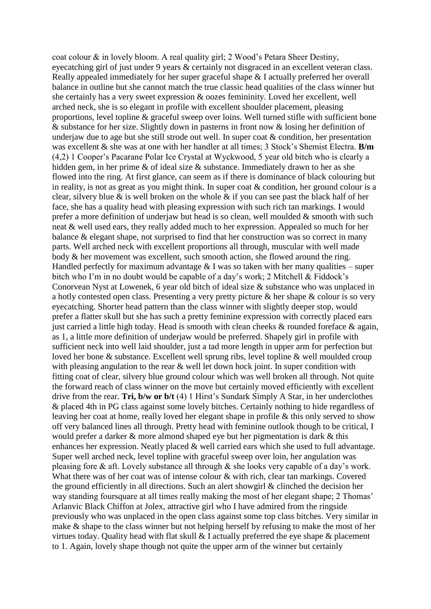coat colour & in lovely bloom. A real quality girl; 2 Wood's Petara Sheer Destiny, eyecatching girl of just under 9 years & certainly not disgraced in an excellent veteran class. Really appealed immediately for her super graceful shape & I actually preferred her overall balance in outline but she cannot match the true classic head qualities of the class winner but she certainly has a very sweet expression & oozes femininity. Loved her excellent, well arched neck, she is so elegant in profile with excellent shoulder placement, pleasing proportions, level topline & graceful sweep over loins. Well turned stifle with sufficient bone & substance for her size. Slightly down in pasterns in front now & losing her definition of underjaw due to age but she still strode out well. In super coat & condition, her presentation was excellent & she was at one with her handler at all times; 3 Stock's Shemist Electra. **B/m** (4,2) 1 Cooper's Pacarane Polar Ice Crystal at Wyckwood, 5 year old bitch who is clearly a hidden gem, in her prime & of ideal size & substance. Immediately drawn to her as she flowed into the ring. At first glance, can seem as if there is dominance of black colouring but in reality, is not as great as you might think. In super coat & condition, her ground colour is a clear, silvery blue  $\&$  is well broken on the whole  $\&$  if you can see past the black half of her face, she has a quality head with pleasing expression with such rich tan markings. I would prefer a more definition of underjaw but head is so clean, well moulded  $\&$  smooth with such neat & well used ears, they really added much to her expression. Appealed so much for her balance & elegant shape, not surprised to find that her construction was so correct in many parts. Well arched neck with excellent proportions all through, muscular with well made body & her movement was excellent, such smooth action, she flowed around the ring. Handled perfectly for maximum advantage  $&$  I was so taken with her many qualities – super bitch who I'm in no doubt would be capable of a day's work; 2 Mitchell & Fiddock's Conorvean Nyst at Lowenek, 6 year old bitch of ideal size & substance who was unplaced in a hotly contested open class. Presenting a very pretty picture & her shape & colour is so very eyecatching. Shorter head pattern than the class winner with slightly deeper stop, would prefer a flatter skull but she has such a pretty feminine expression with correctly placed ears just carried a little high today. Head is smooth with clean cheeks  $\&$  rounded foreface  $\&$  again, as 1, a little more definition of underjaw would be preferred. Shapely girl in profile with sufficient neck into well laid shoulder, just a tad more length in upper arm for perfection but loved her bone & substance. Excellent well sprung ribs, level topline & well moulded croup with pleasing angulation to the rear & well let down hock joint. In super condition with fitting coat of clear, silvery blue ground colour which was well broken all through. Not quite the forward reach of class winner on the move but certainly moved efficiently with excellent drive from the rear. **Tri, b/w or b/t** (4) 1 Hirst's Sundark Simply A Star, in her underclothes & placed 4th in PG class against some lovely bitches. Certainly nothing to hide regardless of leaving her coat at home, really loved her elegant shape in profile & this only served to show off very balanced lines all through. Pretty head with feminine outlook though to be critical, I would prefer a darker & more almond shaped eye but her pigmentation is dark & this enhances her expression. Neatly placed & well carried ears which she used to full advantage. Super well arched neck, level topline with graceful sweep over loin, her angulation was pleasing fore & aft. Lovely substance all through & she looks very capable of a day's work. What there was of her coat was of intense colour & with rich, clear tan markings. Covered the ground efficiently in all directions. Such an alert showgirl & clinched the decision her way standing foursquare at all times really making the most of her elegant shape; 2 Thomas' Arlanvic Black Chiffon at Jolex, attractive girl who I have admired from the ringside previously who was unplaced in the open class against some top class bitches. Very similar in make & shape to the class winner but not helping herself by refusing to make the most of her virtues today. Quality head with flat skull & I actually preferred the eye shape & placement to 1. Again, lovely shape though not quite the upper arm of the winner but certainly